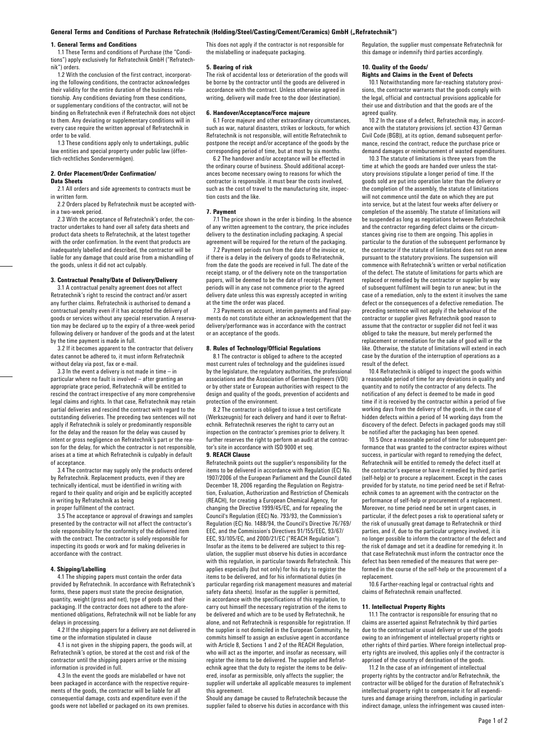#### General Terms and Conditions of Purchase Refratechnik (Holding/Steel/Casting/Cement/Ceramics) GmbH ("Refratechnik")

# 1. General Terms and Conditions

 1.1 These Terms and conditions of Purchase (the "Conditions") apply exclusively for Refratechnik GmbH ("Refratechnik") orders.

 1.2 With the conclusion of the first contract, incorporating the following conditions, the contractor acknowledges their validity for the entire duration of the business relationship. Any conditions deviating from these conditions, or supplementary conditions of the contractor, will not be binding on Refratechnik even if Refratechnik does not object to them. Any deviating or supplementary conditions will in every case require the written approval of Refratechnik in order to be valid.

 1.3 These conditions apply only to undertakings, public law entities and special property under public law (öffentlich-rechtliches Sondervermögen).

#### 2. Order Placement/Order Confirmation/ Data Sheets

 2.1 All orders and side agreements to contracts must be in written form.

 2.2 Orders placed by Refratechnik must be accepted within a two-week period.

2.3 With the acceptance of Refratechnik's order, the contractor undertakes to hand over all safety data sheets and product data sheets to Refratechnik, at the latest together with the order confirmation. In the event that products are inadequately labelled and described, the contractor will be liable for any damage that could arise from a mishandling of the goods, unless it did not act culpably.

# 3. Contractual Penalty/Date of Delivery/Delivery

 3.1 A contractual penalty agreement does not affect Retratechnik's right to rescind the contract and/or assert any further claims. Refratechnik is authorised to demand a contractual penalty even if it has accepted the delivery of goods or services without any special reservation. A reservation may be declared up to the expiry of a three-week period following delivery or handover of the goods and at the latest by the time payment is made in full.

 3.2 If it becomes apparent to the contractor that delivery dates cannot be adhered to, it must inform Refratechnik without delay via post, fax or e-mail.

 3.3 In the event a delivery is not made in time – in particular where no fault is involved – after granting an appropriate grace period, Refratechnik will be entitled to rescind the contract irrespective of any more comprehensive legal claims and rights. In that case, Refratechnik may retain partial deliveries and rescind the contract with regard to the outstanding deliveries. The preceding two sentences will not apply if Refratechnik is solely or predominantly responsible for the delay and the reason for the delay was caused by intent or gross negligence on Refratechnik's part or the reason for the delay, for which the contractor is not responsible, arises at a time at which Refratechnik is culpably in default of acceptance.

 3.4 The contractor may supply only the products ordered by Refratechnik. Replacement products, even if they are technically identical, must be identified in writing with regard to their quality and origin and be explicitly accepted in writing by Refratechnik as being in proper fulfilment of the contract.

 3.5 The acceptance or approval of drawings and samples presented by the contractor will not affect the contractor's sole responsibility for the conformity of the delivered item with the contract. The contractor is solely responsible for inspecting its goods or work and for making deliveries in accordance with the contract.

## 4. Shipping/Labelling

 4.1 The shipping papers must contain the order data provided by Refratechnik. In accordance with Refratechnik's forms, these papers must state the precise designation, quantity, weight (gross and net), type of goods and their packaging. If the contractor does not adhere to the aforementioned obligations, Refratechnik will not be liable for any delays in processing.

4.2 If the shipping papers for a delivery are not delivered in time or the information stipulated in clause

 4.1 is not given in the shipping papers, the goods will, at Refratechnik's option, be stored at the cost and risk of the contractor until the shipping papers arrive or the missing information is provided in full.

 4.3 In the event the goods are mislabelled or have not been packaged in accordance with the respective requirements of the goods, the contractor will be liable for all consequential damage, costs and expenditure even if the goods were not labelled or packaged on its own premises.

This does not apply if the contractor is not responsible for the mislabelling or inadequate packaging.

#### 5. Bearing of risk

The risk of accidental loss or deterioration of the goods will be borne by the contractor until the goods are delivered in accordance with the contract. Unless otherwise agreed in writing, delivery will made free to the door (destination).

# 6. Handover/Acceptance/Force majeure

 6.1 Force majeure and other extraordinary circumstances, such as war, natural disasters, strikes or lockouts, for which Refratechnik is not responsible, will entitle Refratechnik to postpone the receipt and/or acceptance of the goods by the corresponding period of time, but at most by six months.

 6.2 The handover and/or acceptance will be effected in the ordinary course of business. Should additional acceptances become necessary owing to reasons for which the contractor is responsible. it must bear the costs involved, such as the cost of travel to the manufacturing site, inspection costs and the like.

#### 7. Payment

 7.1 The price shown in the order is binding. In the absence of any written agreement to the contrary, the price includes delivery to the destination including packaging. A special agreement will be required for the return of the packaging.

 7.2 Payment periods run from the date of the invoice or, if there is a delay in the delivery of goods to Refratechnik, from the date the goods are received in full. The date of the receipt stamp, or of the delivery note on the transportation papers, will be deemed to be the date of receipt. Payment periods will in any case not commence prior to the agreed delivery date unless this was expressly accepted in writing at the time the order was placed.

 7.3 Payments on account, interim payments and final payments do not constitute either an acknowledgement that the delivery/performance was in accordance with the contract or an acceptance of the goods.

# 8. Rules of Technology/Official Regulations

 8.1 The contractor is obliged to adhere to the accepted most current rules of technology and the guidelines issued by the legislature, the regulatory authorities, the professional associations and the Association of German Engineers (VDI) or by other state or European authorities with respect to the design and quality of the goods, prevention of accidents and protection of the environment.

 8.2 The contractor is obliged to issue a test certificate (Werkszeugnis) for each delivery and hand it over to Refratechnik. Refratechnik reserves the right to carry out an inspection on the contractor's premises prior to delivery. It further reserves the right to perform an audit at the contractor's site in accordance with ISO 9000 et seq. 9. REACH Clause

Refratechnik points out the supplier's responsibility for the items to be delivered in accordance with Regulation (EC) No. 1907/2006 of the European Parliament and the Council dated December 18, 2006 regarding the Regulation on Registration, Evaluation, Authorization and Restriction of Chemicals (REACH), for creating a European Chemical Agency, for changing the Directive 1999/45/EC, and for repealing the Council's Regulation (EEC) No. 793/93, the Commission's Regulation (EC) No. 1488/94, the Council's Directive 76/769/ EEC, and the Commission's Directives 91/155/EEC, 93/67/ EEC, 93/105/EC, and 2000/21/EC ("REACH Regulation"). Insofar as the items to be delivered are subject to this regulation, the supplier must observe his duties in accordance with this regulation, in particular towards Refratechnik. This applies especially (but not only) for his duty to register the items to be delivered, and for his informational duties (in particular regarding risk management measures and material safety data sheets). Insofar as the supplier is permitted, in accordance with the specifications of this regulation, to carry out himself the necessary registration of the items to be delivered and which are to be used by Refratechnik, he alone, and not Refratechnik is responsible for registration. If the supplier is not domiciled in the European Community, he commits himself to assign an exclusive agent in accordance with Article 8, Sections 1 and 2 of the REACH Regulation who will act as the importer, and insofar as necessary, will register the items to be delivered. The supplier and Refratechnik agree that the duty to register the items to be delivered, insofar as permissible, only affects the supplier; the supplier will undertake all applicable measures to implement this agreement.

Should any damage be caused to Refratechnik because the supplier failed to observe his duties in accordance with this

Regulation, the supplier must compensate Refratechnik for this damage or indemnify third parties accordingly.

#### 10. Quality of the Goods/ Rights and Claims in the Event of Defects

 10.1 Notwithstanding more far-reaching statutory provisions, the contractor warrants that the goods comply with the legal, official and contractual provisions applicable for their use and distribution and that the goods are of the agreed quality.

 10.2 In the case of a defect, Refratechnik may, in accordance with the statutory provisions (cf. section 437 German Civil Code (BGB)), at its option, demand subsequent performance, rescind the contract, reduce the purchase price or demand damages or reimbursement of wasted expenditures.

 10.3 The statute of limitations is three years from the time at which the goods are handed over unless the statutory provisions stipulate a longer period of time. If the goods sold are put into operation later than the delivery or the completion of the assembly, the statute of limitations will not commence until the date on which they are put into service, but at the latest four weeks after delivery or completion of the assembly. The statute of limitations will be suspended as long as negotiations between Refratechnik and the contractor regarding defect claims or the circumstances giving rise to them are ongoing. This applies in particular to the duration of the subsequent performance by the contractor if the statute of limitations does not run anew pursuant to the statutory provisions. The suspension will commence with Refratechnik's written or verbal notification of the defect. The statute of limitations for parts which are replaced or remedied by the contractor or supplier by way of subsequent fulfilment will begin to run anew; but in the case of a remediation, only to the extent it involves the same defect or the consequences of a defective remediation. The preceding sentence will not apply if the behaviour of the contractor or supplier gives Refratechnik good reason to assume that the contractor or supplier did not feel it was obliged to take the measure, but merely performed the replacement or remediation for the sake of good will or the like. Otherwise, the statute of limitations will extend in each case by the duration of the interruption of operations as a result of the defect.

 10.4 Refratechnik is obliged to inspect the goods within a reasonable period of time for any deviations in quality and quantity and to notify the contractor of any defects. The notification of any defect is deemed to be made in good time if it is received by the contractor within a period of five working days from the delivery of the goods, in the case of hidden defects within a period of 14 working days from the discovery of the defect. Defects in packaged goods may still be notified after the packaging has been opened.

 10.5 Once a reasonable period of time for subsequent performance that was granted to the contractor expires without success, in particular with regard to remedying the defect, Refratechnik will be entitled to remedy the defect itself at the contractor's expense or have it remedied by third parties (self-help) or to procure a replacement. Except in the cases provided for by statute, no time period need be set if Refratechnik comes to an agreement with the contractor on the performance of self-help or procurement of a replacement. Moreover, no time period need be set in urgent cases, in particular, if the defect poses a risk to operational safety or the risk of unusually great damage to Refratechnik or third parties, and if, due to the particular urgency involved, it is no longer possible to inform the contractor of the defect and the risk of damage and set it a deadline for remedying it. In that case Refratechnik must inform the contractor once the defect has been remedied of the measures that were performed in the course of the self-help or the procurement of a replacement.

 10.6 Farther-reaching legal or contractual rights and claims of Refratechnik remain unaffected.

# 11. Intellectual Property Rights

11.1 The contractor is responsible for ensuring that no claims are asserted against Refratechnik by third parties due to the contractual or usual delivery or use of the goods owing to an infringement of intellectual property rights or other rights of third parties. Where foreign intellectual property rights are involved, this applies only if the contractor is apprised of the country of destination of the goods.

 11.2 In the case of an infringement of intellectual property rights by the contractor and/or Refratechnik, the contractor will be obliged for the duration of Refratechnik's intellectual property right to compensate it for all expenditures and damage arising therefrom, including in particular indirect damage, unless the infringement was caused inten